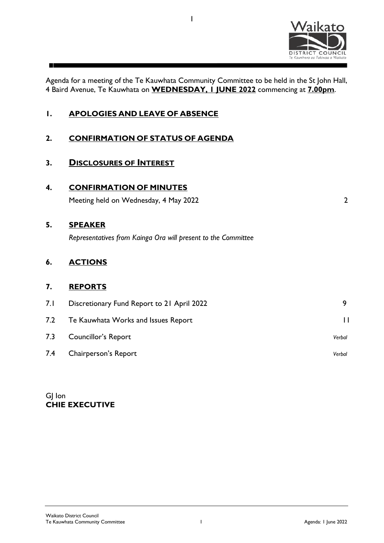

Agenda for a meeting of the Te Kauwhata Community Committee to be held in the St John Hall, 4 Baird Avenue, Te Kauwhata on **WEDNESDAY, 1 JUNE 2022** commencing at **7.00pm**.

1

| Ι.  | <b>APOLOGIES AND LEAVE OF ABSENCE</b>                         |                |
|-----|---------------------------------------------------------------|----------------|
| 2.  | <b>CONFIRMATION OF STATUS OF AGENDA</b>                       |                |
| 3.  | <b>DISCLOSURES OF INTEREST</b>                                |                |
| 4.  | <b>CONFIRMATION OF MINUTES</b>                                |                |
|     | Meeting held on Wednesday, 4 May 2022                         | $\overline{2}$ |
| 5.  | <b>SPEAKER</b>                                                |                |
|     | Representatives from Kainga Ora will present to the Committee |                |
| 6.  | <b>ACTIONS</b>                                                |                |
| 7.  | <b>REPORTS</b>                                                |                |
| 7.1 | Discretionary Fund Report to 21 April 2022                    | 9              |
| 7.2 | Te Kauwhata Works and Issues Report                           | $\mathbf{I}$   |
| 7.3 | <b>Councillor's Report</b>                                    | Verbal         |
| 7.4 | Chairperson's Report                                          | Verbal         |

GJ Ion **CHIE EXECUTIVE**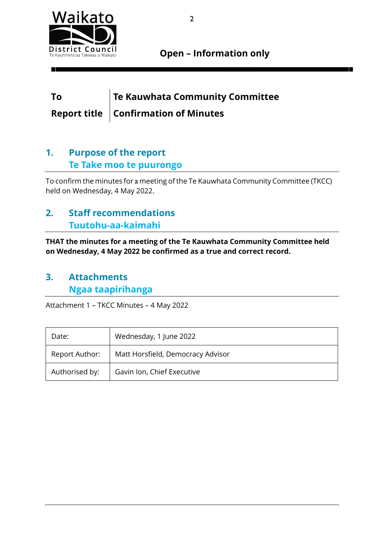

**Open – Information only**

## **To Te Kauwhata Community Committee Report title Confirmation of Minutes**

## **1. Purpose of the report Te Take moo te puurongo**

To confirm the minutes for a meeting of the Te Kauwhata Community Committee (TKCC) held on Wednesday, 4 May 2022.

## **2. Staff recommendations Tuutohu-aa-kaimahi**

**THAT the minutes for a meeting of the Te Kauwhata Community Committee held on Wednesday, 4 May 2022 be confirmed as a true and correct record.** 

### **3. Attachments Ngaa taapirihanga**

Attachment 1 – TKCC Minutes – 4 May 2022

| Date:          | Wednesday, 1 June 2022            |  |  |
|----------------|-----------------------------------|--|--|
| Report Author: | Matt Horsfield, Democracy Advisor |  |  |
| Authorised by: | Gavin Ion, Chief Executive        |  |  |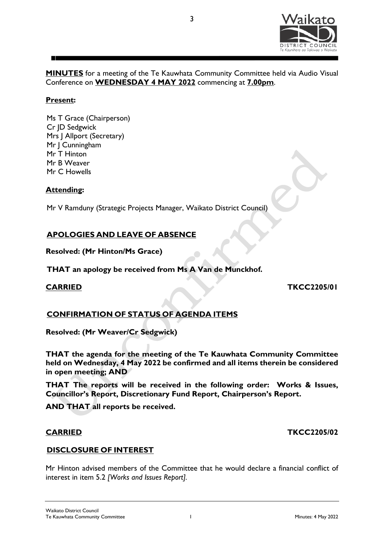

**MINUTES** for a meeting of the Te Kauwhata Community Committee held via Audio Visual Conference on **WEDNESDAY 4 MAY 2022** commencing at **7.00pm**.

3

#### **Present:**

Ms T Grace (Chairperson) Cr JD Sedgwick Mrs J Allport (Secretary) Mr | Cunningham Mr T Hinton Mr B Weaver Mr C Howells

#### **Attending:**

Mr V Ramduny (Strategic Projects Manager, Waikato District Council)

#### **APOLOGIES AND LEAVE OF ABSENCE**

**Resolved: (Mr Hinton/Ms Grace)**

**THAT an apology be received from Ms A Van de Munckhof.**

#### **CARRIED TKCC2205/01**

#### **CONFIRMATION OF STATUS OF AGENDA ITEMS**

**Resolved: (Mr Weaver/Cr Sedgwick)**

**THAT the agenda for the meeting of the Te Kauwhata Community Committee held on Wednesday, 4 May 2022 be confirmed and all items therein be considered in open meeting; AND**

**THAT The reports will be received in the following order: Works & Issues, Councillor's Report, Discretionary Fund Report, Chairperson's Report.**

**AND THAT all reports be received.**

#### **CARRIED TKCC2205/02**

#### **DISCLOSURE OF INTEREST**

Mr Hinton advised members of the Committee that he would declare a financial conflict of interest in item 5.2 *[Works and Issues Report].*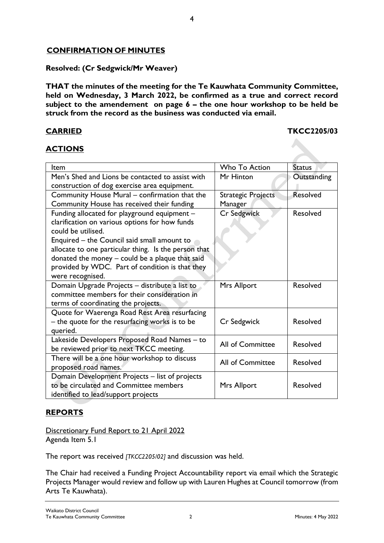### **CONFIRMATION OF MINUTES**

#### **Resolved: (Cr Sedgwick/Mr Weaver)**

**THAT the minutes of the meeting for the Te Kauwhata Community Committee, held on Wednesday, 3 March 2022, be confirmed as a true and correct record subject to the amendement on page 6 – the one hour workshop to be held be struck from the record as the business was conducted via email.**

#### **CARRIED TKCC2205/03**

### **ACTIONS**

| Item                                                 | <b>Who To Action</b>      | <b>Status</b>   |
|------------------------------------------------------|---------------------------|-----------------|
| Men's Shed and Lions be contacted to assist with     | Mr Hinton                 | Outstanding     |
| construction of dog exercise area equipment.         |                           |                 |
| Community House Mural - confirmation that the        | <b>Strategic Projects</b> | <b>Resolved</b> |
| Community House has received their funding           | Manager                   |                 |
| Funding allocated for playground equipment -         | <b>Cr Sedgwick</b>        | <b>Resolved</b> |
| clarification on various options for how funds       |                           |                 |
| could be utilised.                                   |                           |                 |
| Enquired – the Council said small amount to          |                           |                 |
| allocate to one particular thing. Is the person that |                           |                 |
| donated the money - could be a plaque that said      |                           |                 |
| provided by WDC. Part of condition is that they      |                           |                 |
| were recognised.                                     |                           |                 |
| Domain Upgrade Projects - distribute a list to       | Mrs Allport               | Resolved        |
| committee members for their consideration in         |                           |                 |
| terms of coordinating the projects.                  |                           |                 |
| Quote for Waerenga Road Rest Area resurfacing        |                           |                 |
| - the quote for the resurfacing works is to be       | Cr Sedgwick               | Resolved        |
| queried.                                             |                           |                 |
| Lakeside Developers Proposed Road Names - to         | All of Committee          | Resolved        |
| be reviewed prior to next TKCC meeting.              |                           |                 |
| There will be a one hour workshop to discuss         | <b>All of Committee</b>   | Resolved        |
| proposed road names.                                 |                           |                 |
| Domain Development Projects - list of projects       |                           |                 |
| to be circulated and Committee members               | Mrs Allport               | <b>Resolved</b> |
| identified to lead/support projects                  |                           |                 |

#### **REPORTS**

Discretionary Fund Report to 21 April 2022 Agenda Item 5.1

The report was received *[TKCC2205/02]* and discussion was held.

The Chair had received a Funding Project Accountability report via email which the Strategic Projects Manager would review and follow up with Lauren Hughes at Council tomorrow (from Arts Te Kauwhata).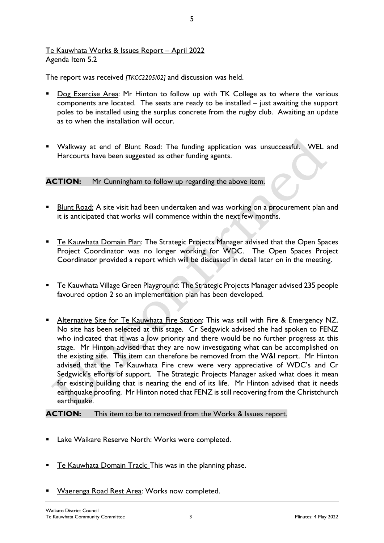#### Te Kauwhata Works & Issues Report – April 2022 Agenda Item 5.2

The report was received *[TKCC2205/02]* and discussion was held.

Dog Exercise Area: Mr Hinton to follow up with TK College as to where the various components are located. The seats are ready to be installed – just awaiting the support poles to be installed using the surplus concrete from the rugby club. Awaiting an update as to when the installation will occur.

5

Walkway at end of Blunt Road: The funding application was unsuccessful. WEL and Harcourts have been suggested as other funding agents.

#### **ACTION:** Mr Cunningham to follow up regarding the above item.

- **Blunt Road:** A site visit had been undertaken and was working on a procurement plan and it is anticipated that works will commence within the next few months.
- **Te Kauwhata Domain Plan: The Strategic Projects Manager advised that the Open Spaces** Project Coordinator was no longer working for WDC. The Open Spaces Project Coordinator provided a report which will be discussed in detail later on in the meeting.
- Te Kauwhata Village Green Playground: The Strategic Projects Manager advised 235 people favoured option 2 so an implementation plan has been developed.
- Alternative Site for Te Kauwhata Fire Station: This was still with Fire & Emergency NZ. No site has been selected at this stage. Cr Sedgwick advised she had spoken to FENZ who indicated that it was a low priority and there would be no further progress at this stage. Mr Hinton advised that they are now investigating what can be accomplished on the existing site. This item can therefore be removed from the W&I report. Mr Hinton advised that the Te Kauwhata Fire crew were very appreciative of WDC's and Cr Sedgwick's efforts of support. The Strategic Projects Manager asked what does it mean for existing building that is nearing the end of its life. Mr Hinton advised that it needs earthquake proofing. Mr Hinton noted that FENZ is still recovering from the Christchurch earthquake.

#### **ACTION:** This item to be to removed from the Works & Issues report.

- Lake Waikare Reserve North: Works were completed.
- Te Kauwhata Domain Track: This was in the planning phase.
- Waerenga Road Rest Area: Works now completed.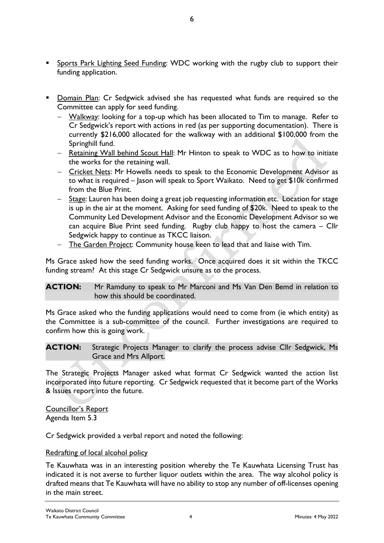- Sports Park Lighting Seed Funding: WDC working with the rugby club to support their funding application.
- Domain Plan: Cr Sedgwick advised she has requested what funds are required so the Committee can apply for seed funding.
	- − Walkway: looking for a top-up which has been allocated to Tim to manage. Refer to Cr Sedgwick's report with actions in red (as per supporting documentation). There is currently \$216,000 allocated for the walkway with an additional \$100,000 from the Springhill fund.
	- − Retaining Wall behind Scout Hall: Mr Hinton to speak to WDC as to how to initiate the works for the retaining wall.
	- − Cricket Nets: Mr Howells needs to speak to the Economic Development Advisor as to what is required – Jason will speak to Sport Waikato. Need to get \$10k confirmed from the Blue Print.
	- − Stage: Lauren has been doing a great job requesting information etc. Location for stage is up in the air at the moment. Asking for seed funding of \$20k. Need to speak to the Community Led Development Advisor and the Economic Development Advisor so we can acquire Blue Print seed funding. Rugby club happy to host the camera – Cllr Sedgwick happy to continue as TKCC liaison.
	- The Garden Project: Community house keen to lead that and liaise with Tim.

Ms Grace asked how the seed funding works. Once acquired does it sit within the TKCC funding stream? At this stage Cr Sedgwick unsure as to the process.

#### **ACTION:** Mr Ramduny to speak to Mr Marconi and Ms Van Den Bemd in relation to how this should be coordinated.

Ms Grace asked who the funding applications would need to come from (ie which entity) as the Committee is a sub-committee of the council. Further investigations are required to confirm how this is going work.

#### **ACTION:** Strategic Projects Manager to clarify the process advise Cllr Sedgwick, Ms Grace and Mrs Allport.

The Strategic Projects Manager asked what format Cr Sedgwick wanted the action list incorporated into future reporting. Cr Sedgwick requested that it become part of the Works & Issues report into the future.

Councillor's Report Agenda Item 5.3

Cr Sedgwick provided a verbal report and noted the following:

#### Redrafting of local alcohol policy

Te Kauwhata was in an interesting position whereby the Te Kauwhata Licensing Trust has indicated it is not averse to further liquor outlets within the area. The way alcohol policy is drafted means that Te Kauwhata will have no ability to stop any number of off-licenses opening in the main street.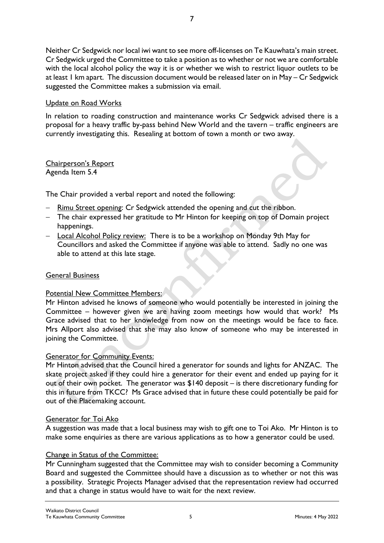Neither Cr Sedgwick nor local iwi want to see more off-licenses on Te Kauwhata's main street. Cr Sedgwick urged the Committee to take a position as to whether or not we are comfortable with the local alcohol policy the way it is or whether we wish to restrict liquor outlets to be at least 1 km apart. The discussion document would be released later on in May – Cr Sedgwick suggested the Committee makes a submission via email.

#### Update on Road Works

In relation to roading construction and maintenance works Cr Sedgwick advised there is a proposal for a heavy traffic by-pass behind New World and the tavern – traffic engineers are currently investigating this. Resealing at bottom of town a month or two away.

#### Chairperson's Report Agenda Item 5.4

The Chair provided a verbal report and noted the following:

- − Rimu Street opening: Cr Sedgwick attended the opening and cut the ribbon.
- − The chair expressed her gratitude to Mr Hinton for keeping on top of Domain project happenings.
- − Local Alcohol Policy review: There is to be a workshop on Monday 9th May for Councillors and asked the Committee if anyone was able to attend. Sadly no one was able to attend at this late stage.

#### General Business

#### Potential New Committee Members:

Mr Hinton advised he knows of someone who would potentially be interested in joining the Committee – however given we are having zoom meetings how would that work? Ms Grace advised that to her knowledge from now on the meetings would be face to face. Mrs Allport also advised that she may also know of someone who may be interested in joining the Committee.

#### Generator for Community Events:

Mr Hinton advised that the Council hired a generator for sounds and lights for ANZAC. The skate project asked if they could hire a generator for their event and ended up paying for it out of their own pocket. The generator was \$140 deposit – is there discretionary funding for this in future from TKCC? Ms Grace advised that in future these could potentially be paid for out of the Placemaking account.

#### Generator for Toi Ako

A suggestion was made that a local business may wish to gift one to Toi Ako. Mr Hinton is to make some enquiries as there are various applications as to how a generator could be used.

#### Change in Status of the Committee:

Mr Cunningham suggested that the Committee may wish to consider becoming a Community Board and suggested the Committee should have a discussion as to whether or not this was a possibility. Strategic Projects Manager advised that the representation review had occurred and that a change in status would have to wait for the next review.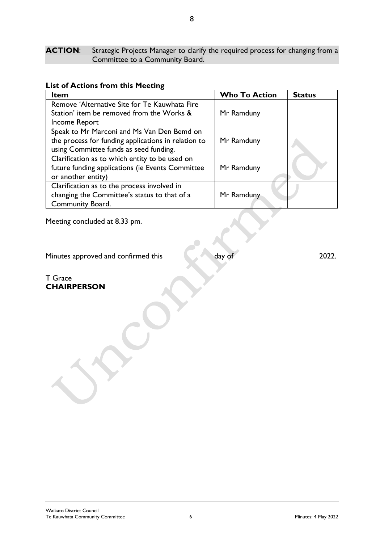ACTION: Strategic Projects Manager to clarify the required process for changing from a Committee to a Community Board.

|  |  |  |  |  | <b>List of Actions from this Meeting</b> |
|--|--|--|--|--|------------------------------------------|
|--|--|--|--|--|------------------------------------------|

| Item                                                | <b>Who To Action</b> | <b>Status</b> |
|-----------------------------------------------------|----------------------|---------------|
| Remove 'Alternative Site for Te Kauwhata Fire       |                      |               |
| Station' item be removed from the Works &           | Mr Ramduny           |               |
| Income Report                                       |                      |               |
| Speak to Mr Marconi and Ms Van Den Bemd on          |                      |               |
| the process for funding applications in relation to | Mr Ramduny           |               |
| using Committee funds as seed funding.              |                      |               |
| Clarification as to which entity to be used on      |                      |               |
| future funding applications (ie Events Committee    | Mr Ramduny           |               |
| or another entity)                                  |                      |               |
| Clarification as to the process involved in         |                      |               |
| changing the Committee's status to that of a        | Mr Ramduny           |               |
| Community Board.                                    |                      |               |

Meeting concluded at 8.33 pm.

T Grace

**CHAIRPERSON**

Minutes approved and confirmed this day of 2022.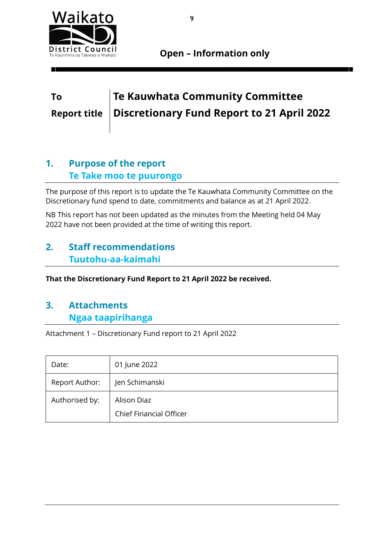

**Open – Information only**

## **To Te Kauwhata Community Committee Report title Discretionary Fund Report to 21 April 2022**

## **1. Purpose of the report Te Take moo te puurongo**

The purpose of this report is to update the Te Kauwhata Community Committee on the Discretionary fund spend to date, commitments and balance as at 21 April 2022.

NB This report has not been updated as the minutes from the Meeting held 04 May 2022 have not been provided at the time of writing this report.

## **2. Staff recommendations Tuutohu-aa-kaimahi**

**That the Discretionary Fund Report to 21 April 2022 be received.** 

## **3. Attachments Ngaa taapirihanga**

Attachment 1 – Discretionary Fund report to 21 April 2022

| Date:          | 01 June 2022                                  |
|----------------|-----------------------------------------------|
| Report Author: | Jen Schimanski                                |
| Authorised by: | Alison Diaz<br><b>Chief Financial Officer</b> |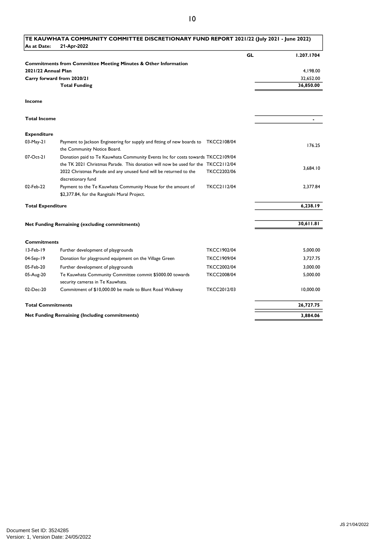| As at Date:              | 21-Apr-2022                                                                                                  |                    |    |            |
|--------------------------|--------------------------------------------------------------------------------------------------------------|--------------------|----|------------|
|                          |                                                                                                              |                    | GL | 1.207.1704 |
|                          | <b>Commitments from Committee Meeting Minutes &amp; Other Information</b>                                    |                    |    |            |
| 2021/22 Annual Plan      |                                                                                                              |                    |    | 4,198.00   |
|                          | Carry forward from 2020/21                                                                                   |                    |    | 32,652.00  |
|                          | <b>Total Funding</b>                                                                                         |                    |    | 36,850.00  |
| Income                   |                                                                                                              |                    |    |            |
| <b>Total Income</b>      |                                                                                                              |                    |    | ÷          |
| <b>Expenditure</b>       |                                                                                                              |                    |    |            |
| 03-May-21                | Payment to Jackson Engineering for supply and fitting of new boards to<br>the Community Notice Board.        | <b>TKCC2108/04</b> |    | 176.25     |
| 07-Oct-21                | Donation paid to Te Kauwhata Community Events Inc for costs towards TKCC2109/04                              |                    |    |            |
|                          | the TK 2021 Christmas Parade. This donation will now be used for the TKCC2112/04                             |                    |    | 3,684.10   |
|                          | 2022 Christmas Parade and any unused fund will be returned to the<br>discretionary fund                      | <b>TKCC2202/06</b> |    |            |
| 02-Feb-22                | Payment to the Te Kauwhata Community House for the amount of<br>\$2,377.84, for the Rangitahi Mural Project. | <b>TKCC2112/04</b> |    | 2,377.84   |
| <b>Total Expenditure</b> |                                                                                                              |                    |    | 6,238.19   |
|                          |                                                                                                              |                    |    |            |
|                          | Net Funding Remaining (excluding commitments)                                                                |                    |    | 30,611.81  |
| <b>Commitments</b>       |                                                                                                              |                    |    |            |
| 13-Feb-19                | Further development of playgrounds                                                                           | <b>TKCC1902/04</b> |    | 5.000.00   |
| 04-Sep-19                | Donation for playground equipment on the Village Green                                                       | <b>TKCC1909/04</b> |    | 3.727.75   |
| 05-Feb-20                | Further development of playgrounds                                                                           | <b>TKCC2002/04</b> |    | 3,000.00   |
| 05-Aug-20                | Te Kauwhata Community Committee commit \$5000.00 towards<br>security cameras in Te Kauwhata.                 | <b>TKCC2008/04</b> |    | 5,000.00   |
| 02-Dec-20                | Commitment of \$10,000.00 be made to Blunt Road Walkway                                                      | TKCC2012/03        |    | 10,000.00  |
| <b>Total Commitments</b> |                                                                                                              |                    |    | 26,727.75  |
|                          | Net Funding Remaining (Including commitments)                                                                |                    |    | 3,884.06   |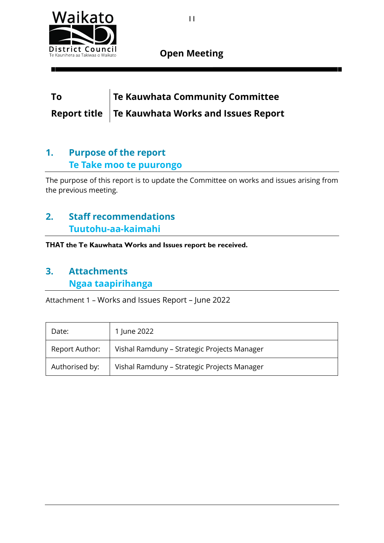

### **Open Meeting**

## **To Te Kauwhata Community Committee Report title Te Kauwhata Works and Issues Report**

## **1. Purpose of the report Te Take moo te puurongo**

The purpose of this report is to update the Committee on works and issues arising from the previous meeting.

## **2. Staff recommendations Tuutohu-aa-kaimahi**

**THAT the Te Kauwhata Works and Issues report be received.**

## **3. Attachments Ngaa taapirihanga**

Attachment 1 – Works and Issues Report – June 2022

| Date:          | 1 June 2022                                 |
|----------------|---------------------------------------------|
| Report Author: | Vishal Ramduny - Strategic Projects Manager |
| Authorised by: | Vishal Ramduny - Strategic Projects Manager |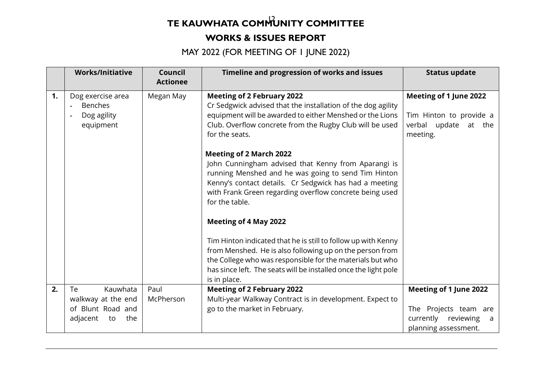# **TE KAUWHATA COMMUNITY COMMITTEE**

### **WORKS & ISSUES REPORT**

MAY 2022 (FOR MEETING OF 1 JUNE 2022)

|    | <b>Works/Initiative</b>                                         | Council<br><b>Actionee</b> | Timeline and progression of works and issues                                                                                                                                                                                                                                        | <b>Status update</b>                                                                         |
|----|-----------------------------------------------------------------|----------------------------|-------------------------------------------------------------------------------------------------------------------------------------------------------------------------------------------------------------------------------------------------------------------------------------|----------------------------------------------------------------------------------------------|
| 1. | Dog exercise area<br><b>Benches</b><br>Dog agility<br>equipment | Megan May                  | <b>Meeting of 2 February 2022</b><br>Cr Sedgwick advised that the installation of the dog agility<br>equipment will be awarded to either Menshed or the Lions<br>Club. Overflow concrete from the Rugby Club will be used<br>for the seats.                                         | <b>Meeting of 1 June 2022</b><br>Tim Hinton to provide a<br>verbal update at the<br>meeting. |
|    |                                                                 |                            | <b>Meeting of 2 March 2022</b><br>John Cunningham advised that Kenny from Aparangi is<br>running Menshed and he was going to send Tim Hinton<br>Kenny's contact details. Cr Sedgwick has had a meeting<br>with Frank Green regarding overflow concrete being used<br>for the table. |                                                                                              |
|    |                                                                 |                            | <b>Meeting of 4 May 2022</b>                                                                                                                                                                                                                                                        |                                                                                              |
|    |                                                                 |                            | Tim Hinton indicated that he is still to follow up with Kenny<br>from Menshed. He is also following up on the person from<br>the College who was responsible for the materials but who<br>has since left. The seats will be installed once the light pole<br>is in place.           |                                                                                              |
| 2. | Kauwhata<br>Te                                                  | Paul                       | <b>Meeting of 2 February 2022</b>                                                                                                                                                                                                                                                   | Meeting of 1 June 2022                                                                       |
|    | walkway at the end                                              | McPherson                  | Multi-year Walkway Contract is in development. Expect to                                                                                                                                                                                                                            |                                                                                              |
|    | of Blunt Road and<br>adjacent<br>the<br>to                      |                            | go to the market in February.                                                                                                                                                                                                                                                       | The Projects team are<br>currently reviewing<br>a<br>planning assessment.                    |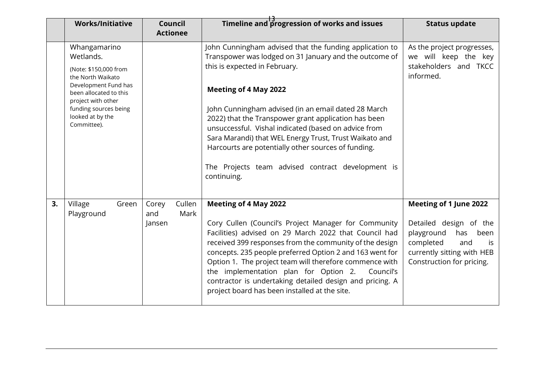|    | <b>Works/Initiative</b>                                                                                                                                                                                     | <b>Council</b><br><b>Actionee</b>        | Timeline and progression of works and issues                                                                                                                                                                                                                                                                                                                                                                                                                                                                                                   | <b>Status update</b>                                                                                                                                               |
|----|-------------------------------------------------------------------------------------------------------------------------------------------------------------------------------------------------------------|------------------------------------------|------------------------------------------------------------------------------------------------------------------------------------------------------------------------------------------------------------------------------------------------------------------------------------------------------------------------------------------------------------------------------------------------------------------------------------------------------------------------------------------------------------------------------------------------|--------------------------------------------------------------------------------------------------------------------------------------------------------------------|
|    | Whangamarino<br>Wetlands.<br>(Note: \$150,000 from<br>the North Waikato<br>Development Fund has<br>been allocated to this<br>project with other<br>funding sources being<br>looked at by the<br>Committee). |                                          | John Cunningham advised that the funding application to<br>Transpower was lodged on 31 January and the outcome of<br>this is expected in February.<br><b>Meeting of 4 May 2022</b><br>John Cunningham advised (in an email dated 28 March<br>2022) that the Transpower grant application has been<br>unsuccessful. Vishal indicated (based on advice from<br>Sara Marandi) that WEL Energy Trust, Trust Waikato and<br>Harcourts are potentially other sources of funding.<br>The Projects team advised contract development is<br>continuing. | As the project progresses,<br>we will keep the key<br>stakeholders and TKCC<br>informed.                                                                           |
| 3. | Village<br>Green<br>Playground                                                                                                                                                                              | Cullen<br>Corey<br>Mark<br>and<br>Jansen | <b>Meeting of 4 May 2022</b><br>Cory Cullen (Council's Project Manager for Community<br>Facilities) advised on 29 March 2022 that Council had<br>received 399 responses from the community of the design<br>concepts. 235 people preferred Option 2 and 163 went for<br>Option 1. The project team will therefore commence with<br>the implementation plan for Option 2.<br>Council's<br>contractor is undertaking detailed design and pricing. A<br>project board has been installed at the site.                                             | Meeting of 1 June 2022<br>Detailed design of the<br>playground<br>has<br>been<br>completed<br>and<br>is<br>currently sitting with HEB<br>Construction for pricing. |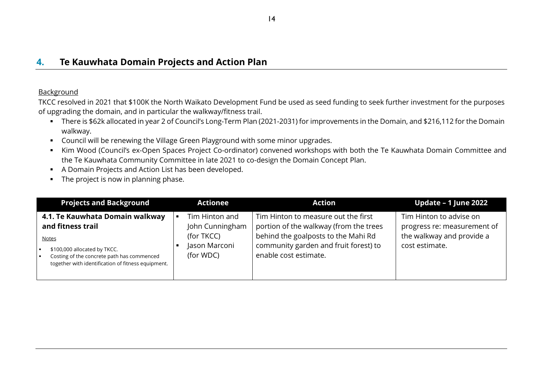#### **Background**

TKCC resolved in 2021 that \$100K the North Waikato Development Fund be used as seed funding to seek further investment for the purposes of upgrading the domain, and in particular the walkway/fitness trail.

- There is \$62k allocated in year 2 of Council's Long-Term Plan (2021-2031) for improvements in the Domain, and \$216,112 for the Domain walkway.
- Council will be renewing the Village Green Playground with some minor upgrades.
- Kim Wood (Council's ex-Open Spaces Project Co-ordinator) convened workshops with both the Te Kauwhata Domain Committee and the Te Kauwhata Community Committee in late 2021 to co-design the Domain Concept Plan.
- A Domain Projects and Action List has been developed.
- The project is now in planning phase.

| <b>Projects and Background</b>                                                                                                                                                                           | <b>Actionee</b>                                                                                 | <b>Action</b>                                                                                                                                                                          | Update - 1 June 2022                                                                                  |
|----------------------------------------------------------------------------------------------------------------------------------------------------------------------------------------------------------|-------------------------------------------------------------------------------------------------|----------------------------------------------------------------------------------------------------------------------------------------------------------------------------------------|-------------------------------------------------------------------------------------------------------|
| 4.1. Te Kauwhata Domain walkway<br>and fitness trail<br><b>Notes</b><br>\$100,000 allocated by TKCC.<br>Costing of the concrete path has commenced<br>together with identification of fitness equipment. | Tim Hinton and<br>$\blacksquare$<br>John Cunningham<br>(for TKCC)<br>Jason Marconi<br>(for WDC) | Tim Hinton to measure out the first<br>portion of the walkway (from the trees<br>behind the goalposts to the Mahi Rd<br>community garden and fruit forest) to<br>enable cost estimate. | Tim Hinton to advise on<br>progress re: measurement of<br>the walkway and provide a<br>cost estimate. |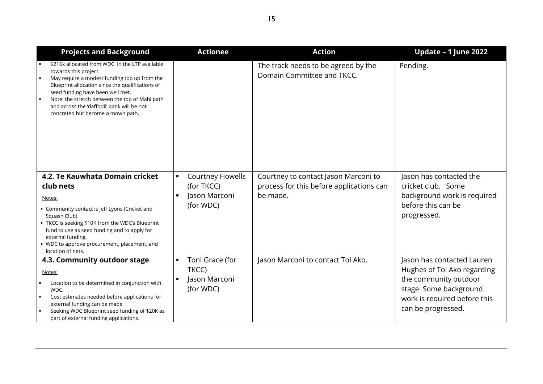| <b>Projects and Background</b>                                                                                                                                                                                                                                                                                                                                               | <b>Actionee</b>                                                                                         | <b>Action</b>                                                                                | Update - 1 June 2022                                                                                                                                               |
|------------------------------------------------------------------------------------------------------------------------------------------------------------------------------------------------------------------------------------------------------------------------------------------------------------------------------------------------------------------------------|---------------------------------------------------------------------------------------------------------|----------------------------------------------------------------------------------------------|--------------------------------------------------------------------------------------------------------------------------------------------------------------------|
| \$216k allocated from WDC in the LTP available<br>towards this project.<br>May require a modest funding top up from the<br>$\blacksquare$<br>Blueprint allocation since the qualifications of<br>seed funding have been well met.<br>Note: the stretch between the top of Mahi path<br>۰.<br>and across the 'daffodil' bank will be not<br>concreted but become a mown path. |                                                                                                         | The track needs to be agreed by the<br>Domain Committee and TKCC.                            | Pending.                                                                                                                                                           |
| 4.2. Te Kauwhata Domain cricket<br>club nets<br>Notes:<br>• Community contact is Jeff Lyons (Cricket and<br>Squash Club).<br>• TKCC is seeking \$10K from the WDC's Blueprint<br>fund to use as seed funding and to apply for<br>external funding.<br>• WDC to approve procurement, placement, and<br>location of nets.                                                      | <b>Courtney Howells</b><br>$\blacksquare$<br>(for TKCC)<br>Jason Marconi<br>$\blacksquare$<br>(for WDC) | Courtney to contact Jason Marconi to<br>process for this before applications can<br>be made. | Jason has contacted the<br>cricket club. Some<br>background work is required<br>before this can be<br>progressed.                                                  |
| 4.3. Community outdoor stage<br>Notes:<br>Location to be determined in conjunction with<br>WDC.<br>Cost estimates needed before applications for<br>$\blacksquare$<br>external funding can be made<br>Seeking WDC Blueprint seed funding of \$20K as<br>part of external funding applications.                                                                               | Toni Grace (for<br>$\blacksquare$<br>TKCC)<br>Jason Marconi<br>$\blacksquare$<br>(for WDC)              | Jason Marconi to contact Toi Ako.                                                            | Jason has contacted Lauren<br>Hughes of Toi Ako regarding<br>the community outdoor<br>stage. Some background<br>work is required before this<br>can be progressed. |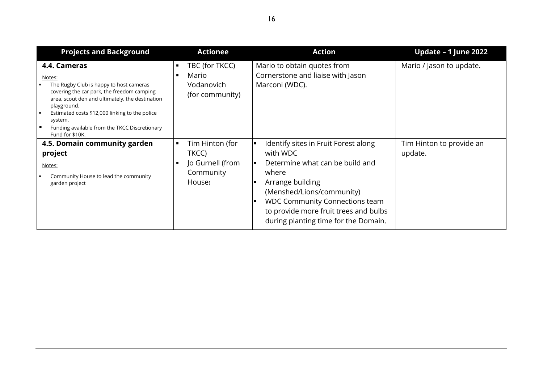| <b>Projects and Background</b>                                                                                                                                                                                                                                                                                                                         | <b>Actionee</b>                                                          | <b>Action</b>                                                                                                                                                                                                                                                                  | Update - 1 June 2022                |
|--------------------------------------------------------------------------------------------------------------------------------------------------------------------------------------------------------------------------------------------------------------------------------------------------------------------------------------------------------|--------------------------------------------------------------------------|--------------------------------------------------------------------------------------------------------------------------------------------------------------------------------------------------------------------------------------------------------------------------------|-------------------------------------|
| 4.4. Cameras<br>Notes:<br>The Rugby Club is happy to host cameras<br>covering the car park, the freedom camping<br>area, scout den and ultimately, the destination<br>playground.<br>Estimated costs \$12,000 linking to the police<br>$\blacksquare$<br>system.<br>$\blacksquare$<br>Funding available from the TKCC Discretionary<br>Fund for \$10K. | TBC (for TKCC)<br>п<br>Mario<br>п<br>Vodanovich<br>(for community)       | Mario to obtain quotes from<br>Cornerstone and liaise with Jason<br>Marconi (WDC).                                                                                                                                                                                             | Mario / Jason to update.            |
| 4.5. Domain community garden<br>project<br>Notes:<br>Community House to lead the community<br>garden project                                                                                                                                                                                                                                           | Tim Hinton (for<br>п<br>TKCC)<br>Jo Gurnell (from<br>Community<br>House) | Identify sites in Fruit Forest along<br>। ⊑<br>with WDC<br>Determine what can be build and<br>where<br>Arrange building<br>(Menshed/Lions/community)<br><b>WDC Community Connections team</b><br>to provide more fruit trees and bulbs<br>during planting time for the Domain. | Tim Hinton to provide an<br>update. |